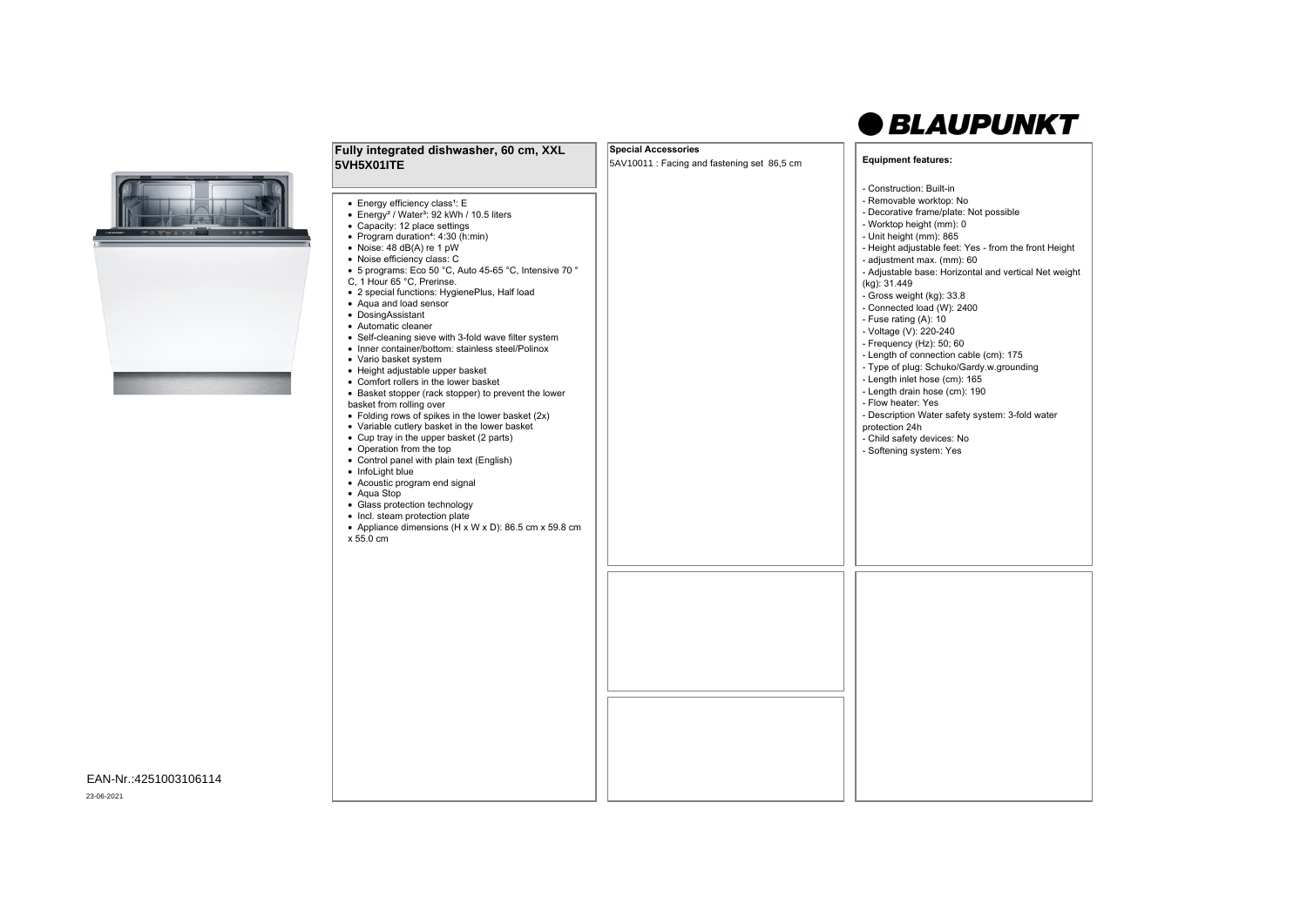## *<u>OBLAUPUNKT</u>*

| Fully integrated dishwasher, 60 cm, XXL                                                                                                                                                                                                                                                                                                                                                                                                                                                                                                                                                                                                                                                                                                                                                                                                                                                                                                                                                                                                                                                                                                                                                                                        | <b>Special Accessories</b>                  | <b>Equipment features:</b>                                                                                                                                                                                                                                                                                                                                                                                                                                                                                                                                                                                                                                                                                                                                                 |
|--------------------------------------------------------------------------------------------------------------------------------------------------------------------------------------------------------------------------------------------------------------------------------------------------------------------------------------------------------------------------------------------------------------------------------------------------------------------------------------------------------------------------------------------------------------------------------------------------------------------------------------------------------------------------------------------------------------------------------------------------------------------------------------------------------------------------------------------------------------------------------------------------------------------------------------------------------------------------------------------------------------------------------------------------------------------------------------------------------------------------------------------------------------------------------------------------------------------------------|---------------------------------------------|----------------------------------------------------------------------------------------------------------------------------------------------------------------------------------------------------------------------------------------------------------------------------------------------------------------------------------------------------------------------------------------------------------------------------------------------------------------------------------------------------------------------------------------------------------------------------------------------------------------------------------------------------------------------------------------------------------------------------------------------------------------------------|
| 5VH5X01ITE                                                                                                                                                                                                                                                                                                                                                                                                                                                                                                                                                                                                                                                                                                                                                                                                                                                                                                                                                                                                                                                                                                                                                                                                                     | 5AV10011 : Facing and fastening set 86,5 cm |                                                                                                                                                                                                                                                                                                                                                                                                                                                                                                                                                                                                                                                                                                                                                                            |
| • Energy efficiency class <sup>1</sup> : E<br>• Energy <sup>2</sup> / Water <sup>3</sup> : 92 kWh / 10.5 liters<br>• Capacity: 12 place settings<br>• Program duration <sup>4</sup> : 4:30 (h:min)<br>• Noise: 48 dB(A) re 1 pW<br>• Noise efficiency class: C<br>• 5 programs: Eco 50 °C, Auto 45-65 °C, Intensive 70 °<br>C, 1 Hour 65 °C, Prerinse.<br>• 2 special functions: HygienePlus, Half load<br>• Aqua and load sensor<br>• DosingAssistant<br>• Automatic cleaner<br>• Self-cleaning sieve with 3-fold wave filter system<br>• Inner container/bottom: stainless steel/Polinox<br>• Vario basket system<br>• Height adjustable upper basket<br>• Comfort rollers in the lower basket<br>• Basket stopper (rack stopper) to prevent the lower<br>basket from rolling over<br>• Folding rows of spikes in the lower basket $(2x)$<br>• Variable cutlery basket in the lower basket<br>• Cup tray in the upper basket (2 parts)<br>• Operation from the top<br>• Control panel with plain text (English)<br>• InfoLight blue<br>• Acoustic program end signal<br>• Aqua Stop<br>• Glass protection technology<br>• Incl. steam protection plate<br>• Appliance dimensions (H x W x D): 86.5 cm x 59.8 cm<br>x 55.0 cm |                                             | - Construction: Built-in<br>- Removable worktop: No<br>- Decorative frame/plate: Not possible<br>- Worktop height (mm): 0<br>- Unit height (mm): 865<br>- Height adjustable feet: Yes - from the front Height<br>- adjustment max. (mm): 60<br>- Adjustable base: Horizontal and vertical Net weight<br>(kg): 31.449<br>- Gross weight (kg): 33.8<br>- Connected load (W): 2400<br>- Fuse rating (A): 10<br>- Voltage (V): 220-240<br>- Frequency (Hz): 50; 60<br>- Length of connection cable (cm): 175<br>- Type of plug: Schuko/Gardy.w.grounding<br>- Length inlet hose (cm): 165<br>- Length drain hose (cm): 190<br>- Flow heater: Yes<br>- Description Water safety system: 3-fold water<br>protection 24h<br>- Child safety devices: No<br>- Softening system: Yes |
|                                                                                                                                                                                                                                                                                                                                                                                                                                                                                                                                                                                                                                                                                                                                                                                                                                                                                                                                                                                                                                                                                                                                                                                                                                |                                             |                                                                                                                                                                                                                                                                                                                                                                                                                                                                                                                                                                                                                                                                                                                                                                            |

EAN-Nr.:4251003106114

23-06-2021